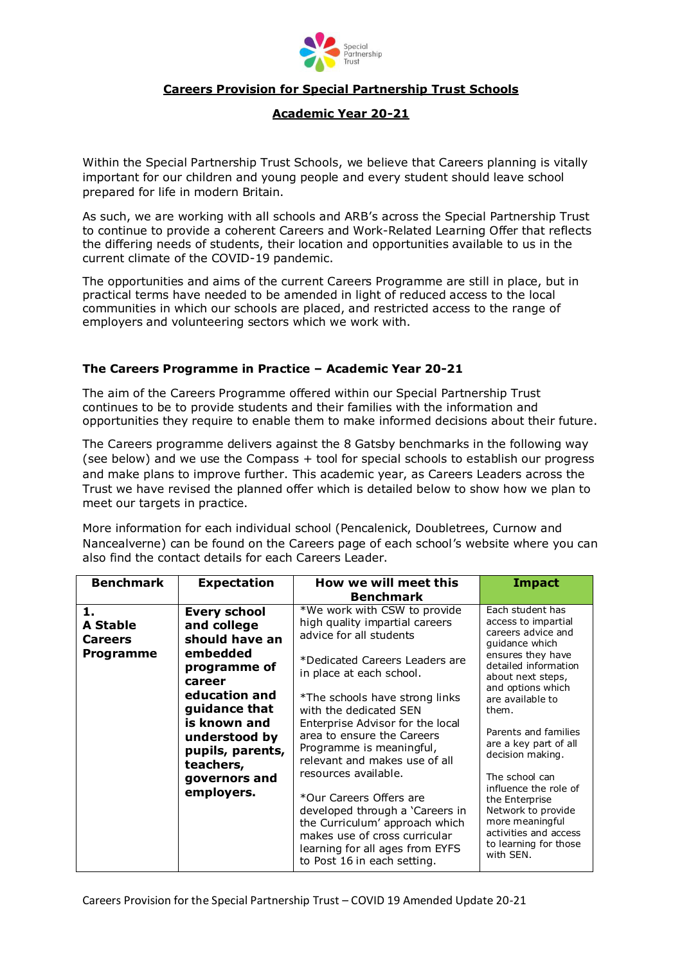

## **Careers Provision for Special Partnership Trust Schools**

## **Academic Year 20-21**

Within the Special Partnership Trust Schools, we believe that Careers planning is vitally important for our children and young people and every student should leave school prepared for life in modern Britain.

As such, we are working with all schools and ARB's across the Special Partnership Trust to continue to provide a coherent Careers and Work-Related Learning Offer that reflects the differing needs of students, their location and opportunities available to us in the current climate of the COVID-19 pandemic.

The opportunities and aims of the current Careers Programme are still in place, but in practical terms have needed to be amended in light of reduced access to the local communities in which our schools are placed, and restricted access to the range of employers and volunteering sectors which we work with.

## **The Careers Programme in Practice – Academic Year 20-21**

The aim of the Careers Programme offered within our Special Partnership Trust continues to be to provide students and their families with the information and opportunities they require to enable them to make informed decisions about their future.

The Careers programme delivers against the 8 Gatsby benchmarks in the following way (see below) and we use the Compass + tool for special schools to establish our progress and make plans to improve further. This academic year, as Careers Leaders across the Trust we have revised the planned offer which is detailed below to show how we plan to meet our targets in practice.

More information for each individual school (Pencalenick, Doubletrees, Curnow and Nancealverne) can be found on the Careers page of each school's website where you can also find the contact details for each Careers Leader.

| <b>Benchmark</b>                                     | <b>Expectation</b>                                                                                                                                                                                                            | How we will meet this<br><b>Benchmark</b>                                                                                                                                                                                                                                                                                                                                                                                                                                                                                                                                     | <b>Impact</b>                                                                                                                                                                                                                                                                                                                                                                                                                                 |
|------------------------------------------------------|-------------------------------------------------------------------------------------------------------------------------------------------------------------------------------------------------------------------------------|-------------------------------------------------------------------------------------------------------------------------------------------------------------------------------------------------------------------------------------------------------------------------------------------------------------------------------------------------------------------------------------------------------------------------------------------------------------------------------------------------------------------------------------------------------------------------------|-----------------------------------------------------------------------------------------------------------------------------------------------------------------------------------------------------------------------------------------------------------------------------------------------------------------------------------------------------------------------------------------------------------------------------------------------|
| 1.<br><b>A Stable</b><br><b>Careers</b><br>Programme | <b>Every school</b><br>and college<br>should have an<br>embedded<br>programme of<br>career<br>education and<br>guidance that<br>is known and<br>understood by<br>pupils, parents,<br>teachers,<br>governors and<br>employers. | *We work with CSW to provide<br>high quality impartial careers<br>advice for all students<br>*Dedicated Careers Leaders are<br>in place at each school.<br>*The schools have strong links<br>with the dedicated SEN<br>Enterprise Advisor for the local<br>area to ensure the Careers<br>Programme is meaningful,<br>relevant and makes use of all<br>resources available.<br>*Our Careers Offers are<br>developed through a 'Careers in<br>the Curriculum' approach which<br>makes use of cross curricular<br>learning for all ages from EYFS<br>to Post 16 in each setting. | Each student has<br>access to impartial<br>careers advice and<br>quidance which<br>ensures they have<br>detailed information<br>about next steps,<br>and options which<br>are available to<br>them.<br>Parents and families<br>are a key part of all<br>decision making.<br>The school can<br>influence the role of<br>the Enterprise<br>Network to provide<br>more meaningful<br>activities and access<br>to learning for those<br>with SEN. |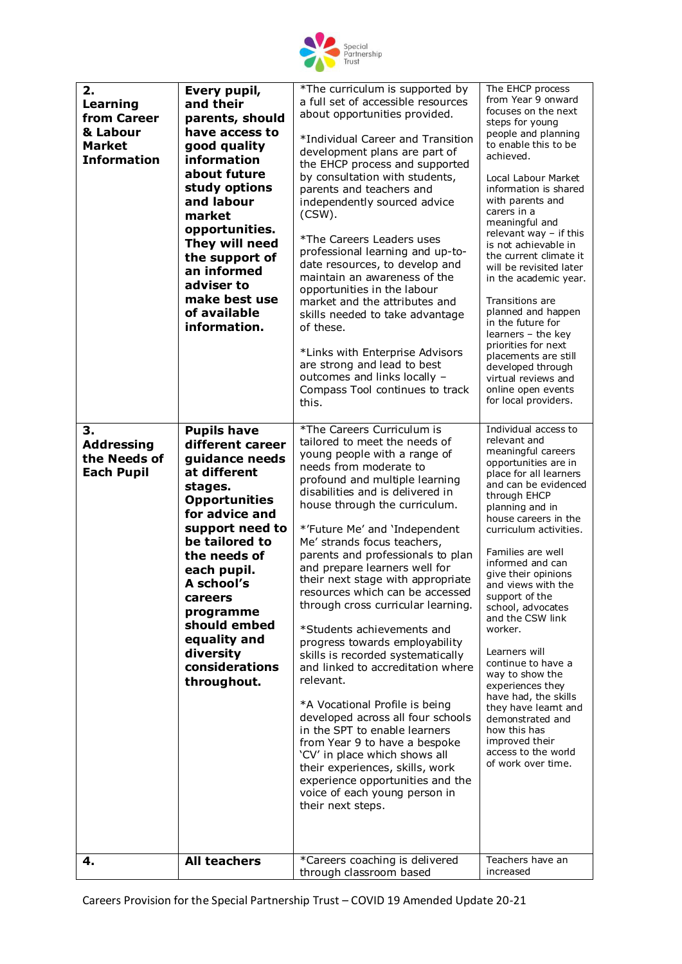

| 2.<br>Learning<br>from Career<br>& Labour<br><b>Market</b><br><b>Information</b> | Every pupil,<br>and their<br>parents, should<br>have access to<br>good quality<br><b>information</b><br>about future<br>study options<br>and labour<br>market<br>opportunities.<br>They will need<br>the support of<br>an informed<br>adviser to<br>make best use<br>of available<br>information.                     | *The curriculum is supported by<br>a full set of accessible resources<br>about opportunities provided.<br>*Individual Career and Transition<br>development plans are part of<br>the EHCP process and supported<br>by consultation with students,<br>parents and teachers and<br>independently sourced advice<br>$(CSW)$ .<br>*The Careers Leaders uses<br>professional learning and up-to-<br>date resources, to develop and<br>maintain an awareness of the<br>opportunities in the labour<br>market and the attributes and<br>skills needed to take advantage<br>of these.<br>*Links with Enterprise Advisors<br>are strong and lead to best<br>outcomes and links locally -<br>Compass Tool continues to track<br>this.                                                                                                                                                                                                                     | The EHCP process<br>from Year 9 onward<br>focuses on the next<br>steps for young<br>people and planning<br>to enable this to be<br>achieved.<br>Local Labour Market<br>information is shared<br>with parents and<br>carers in a<br>meaningful and<br>relevant way - if this<br>is not achievable in<br>the current climate it<br>will be revisited later<br>in the academic year.<br>Transitions are<br>planned and happen<br>in the future for<br>learners - the key<br>priorities for next<br>placements are still<br>developed through<br>virtual reviews and<br>online open events<br>for local providers.         |
|----------------------------------------------------------------------------------|-----------------------------------------------------------------------------------------------------------------------------------------------------------------------------------------------------------------------------------------------------------------------------------------------------------------------|------------------------------------------------------------------------------------------------------------------------------------------------------------------------------------------------------------------------------------------------------------------------------------------------------------------------------------------------------------------------------------------------------------------------------------------------------------------------------------------------------------------------------------------------------------------------------------------------------------------------------------------------------------------------------------------------------------------------------------------------------------------------------------------------------------------------------------------------------------------------------------------------------------------------------------------------|------------------------------------------------------------------------------------------------------------------------------------------------------------------------------------------------------------------------------------------------------------------------------------------------------------------------------------------------------------------------------------------------------------------------------------------------------------------------------------------------------------------------------------------------------------------------------------------------------------------------|
| 3.<br><b>Addressing</b><br>the Needs of<br><b>Each Pupil</b>                     | <b>Pupils have</b><br>different career<br>guidance needs<br>at different<br>stages.<br><b>Opportunities</b><br>for advice and<br>support need to<br>be tailored to<br>the needs of<br>each pupil.<br>A school's<br>careers<br>programme<br>should embed<br>equality and<br>diversity<br>considerations<br>throughout. | *The Careers Curriculum is<br>tailored to meet the needs of<br>young people with a range of<br>needs from moderate to<br>profound and multiple learning<br>disabilities and is delivered in<br>house through the curriculum.<br>*'Future Me' and 'Independent<br>Me' strands focus teachers,<br>parents and professionals to plan<br>and prepare learners well for<br>their next stage with appropriate<br>resources which can be accessed<br>through cross curricular learning.<br>*Students achievements and<br>progress towards employability<br>skills is recorded systematically<br>and linked to accreditation where<br>relevant.<br>*A Vocational Profile is being<br>developed across all four schools<br>in the SPT to enable learners<br>from Year 9 to have a bespoke<br>'CV' in place which shows all<br>their experiences, skills, work<br>experience opportunities and the<br>voice of each young person in<br>their next steps. | Individual access to<br>relevant and<br>meaningful careers<br>opportunities are in<br>place for all learners<br>and can be evidenced<br>through EHCP<br>planning and in<br>house careers in the<br>curriculum activities.<br>Families are well<br>informed and can<br>give their opinions<br>and views with the<br>support of the<br>school, advocates<br>and the CSW link<br>worker.<br>Learners will<br>continue to have a<br>way to show the<br>experiences they<br>have had, the skills<br>they have learnt and<br>demonstrated and<br>how this has<br>improved their<br>access to the world<br>of work over time. |
| 4.                                                                               | <b>All teachers</b>                                                                                                                                                                                                                                                                                                   | *Careers coaching is delivered<br>through classroom based                                                                                                                                                                                                                                                                                                                                                                                                                                                                                                                                                                                                                                                                                                                                                                                                                                                                                      | Teachers have an<br>increased                                                                                                                                                                                                                                                                                                                                                                                                                                                                                                                                                                                          |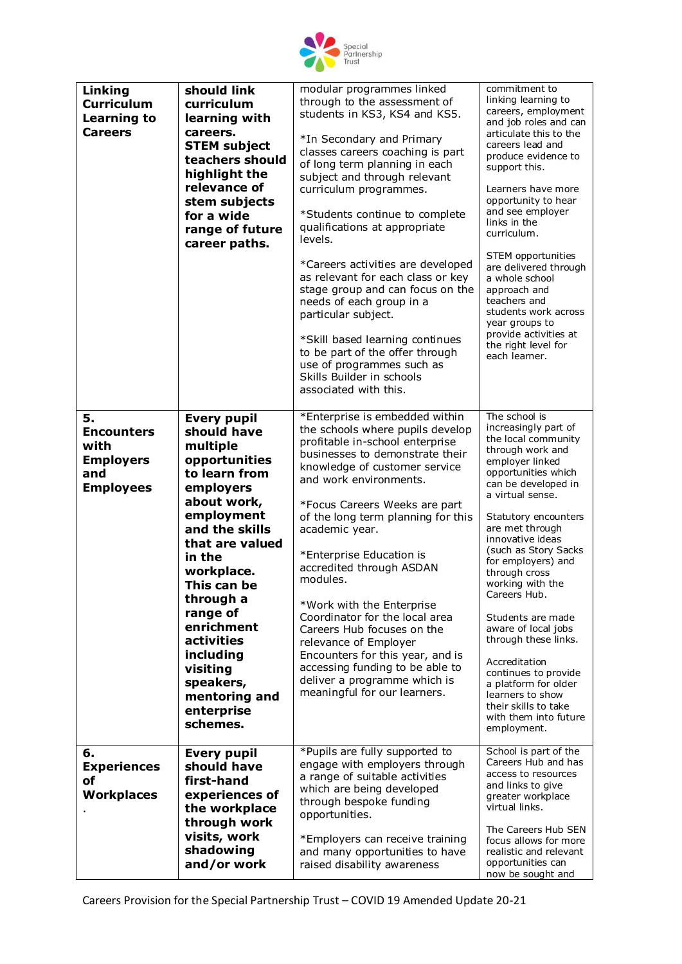

| Linking<br><b>Curriculum</b><br>Learning to<br><b>Careers</b>                  | should link<br>curriculum<br>learning with<br>careers.<br><b>STEM subject</b><br>teachers should<br>highlight the<br>relevance of<br>stem subjects<br>for a wide<br>range of future<br>career paths.                                                                                                                                        | modular programmes linked<br>through to the assessment of<br>students in KS3, KS4 and KS5.<br>*In Secondary and Primary<br>classes careers coaching is part<br>of long term planning in each<br>subject and through relevant<br>curriculum programmes.<br>*Students continue to complete<br>qualifications at appropriate<br>levels.<br>*Careers activities are developed<br>as relevant for each class or key<br>stage group and can focus on the<br>needs of each group in a<br>particular subject.<br>*Skill based learning continues<br>to be part of the offer through<br>use of programmes such as<br>Skills Builder in schools<br>associated with this. | commitment to<br>linking learning to<br>careers, employment<br>and job roles and can<br>articulate this to the<br>careers lead and<br>produce evidence to<br>support this.<br>Learners have more<br>opportunity to hear<br>and see employer<br>links in the<br>curriculum.<br>STEM opportunities<br>are delivered through<br>a whole school<br>approach and<br>teachers and<br>students work across<br>year groups to<br>provide activities at<br>the right level for<br>each leamer.                                                                            |
|--------------------------------------------------------------------------------|---------------------------------------------------------------------------------------------------------------------------------------------------------------------------------------------------------------------------------------------------------------------------------------------------------------------------------------------|----------------------------------------------------------------------------------------------------------------------------------------------------------------------------------------------------------------------------------------------------------------------------------------------------------------------------------------------------------------------------------------------------------------------------------------------------------------------------------------------------------------------------------------------------------------------------------------------------------------------------------------------------------------|------------------------------------------------------------------------------------------------------------------------------------------------------------------------------------------------------------------------------------------------------------------------------------------------------------------------------------------------------------------------------------------------------------------------------------------------------------------------------------------------------------------------------------------------------------------|
| 5.<br><b>Encounters</b><br>with<br><b>Employers</b><br>and<br><b>Employees</b> | <b>Every pupil</b><br>should have<br>multiple<br>opportunities<br>to learn from<br>employers<br>about work,<br>employment<br>and the skills<br>that are valued<br>in the<br>workplace.<br>This can be<br>through a<br>range of<br>enrichment<br>activities<br>including<br>visiting<br>speakers,<br>mentoring and<br>enterprise<br>schemes. | *Enterprise is embedded within<br>the schools where pupils develop<br>profitable in-school enterprise<br>businesses to demonstrate their<br>knowledge of customer service<br>and work environments.<br>*Focus Careers Weeks are part<br>of the long term planning for this<br>academic year.<br>*Enterprise Education is<br>accredited through ASDAN<br>modules.<br>*Work with the Enterprise<br>Coordinator for the local area<br>Careers Hub focuses on the<br>relevance of Employer<br>Encounters for this year, and is<br>accessing funding to be able to<br>deliver a programme which is<br>meaningful for our learners.                                  | The school is<br>increasingly part of<br>the local community<br>through work and<br>employer linked<br>opportunities which<br>can be developed in<br>a virtual sense.<br>Statutory encounters<br>are met through<br>innovative ideas<br>(such as Story Sacks<br>for employers) and<br>through cross<br>working with the<br>Careers Hub.<br>Students are made<br>aware of local jobs<br>through these links.<br>Accreditation<br>continues to provide<br>a platform for older<br>learners to show<br>their skills to take<br>with them into future<br>employment. |
| 6.<br><b>Experiences</b><br>οf<br><b>Workplaces</b>                            | <b>Every pupil</b><br>should have<br>first-hand<br>experiences of<br>the workplace<br>through work<br>visits, work<br>shadowing<br>and/or work                                                                                                                                                                                              | *Pupils are fully supported to<br>engage with employers through<br>a range of suitable activities<br>which are being developed<br>through bespoke funding<br>opportunities.<br>*Employers can receive training<br>and many opportunities to have<br>raised disability awareness                                                                                                                                                                                                                                                                                                                                                                                | School is part of the<br>Careers Hub and has<br>access to resources<br>and links to give<br>greater workplace<br>virtual links.<br>The Careers Hub SEN<br>focus allows for more<br>realistic and relevant<br>opportunities can<br>now be sought and                                                                                                                                                                                                                                                                                                              |